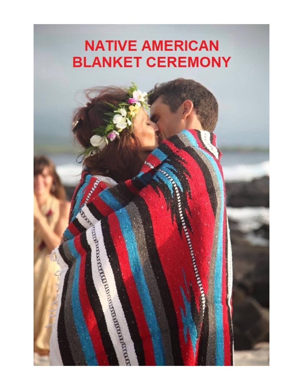## **NATIVE AMERICAN BLANKET CEREMONY**